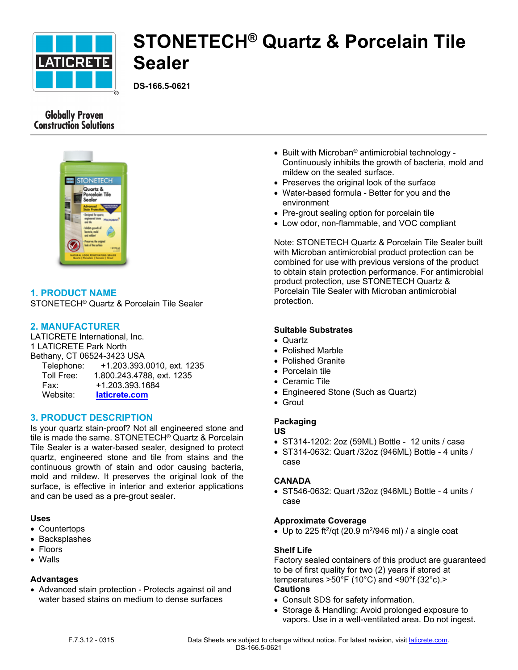

# **STONETECH® Quartz & Porcelain Tile Sealer**

**DS-166.5-0621**

# **Globally Proven Construction Solutions**



# **1. PRODUCT NAME**

STONETECH® Quartz & Porcelain Tile Sealer

# **2. MANUFACTURER**

LATICRETE International, Inc. 1 LATICRETE Park North Bethany, CT 06524-3423 USA Telephone: +1.203.393.0010, ext. 1235 Toll Free: 1.800.243.4788, ext. 1235 Fax: +1.203.393.1684 Website: **[laticrete.com](https://laticrete.com/)**

# **3. PRODUCT DESCRIPTION**

Is your quartz stain-proof? Not all engineered stone and tile is made the same. STONETECH® Quartz & Porcelain Tile Sealer is a water-based sealer, designed to protect quartz, engineered stone and tile from stains and the continuous growth of stain and odor causing bacteria, mold and mildew. It preserves the original look of the surface, is effective in interior and exterior applications and can be used as a pre-grout sealer.

#### **Uses**

- Countertops
- Backsplashes
- Floors
- Walls

# **Advantages**

 Advanced stain protection - Protects against oil and water based stains on medium to dense surfaces

- Built with Microban<sup>®</sup> antimicrobial technology -Continuously inhibits the growth of bacteria, mold and mildew on the sealed surface.
- Preserves the original look of the surface
- Water-based formula Better for you and the environment
- Pre-grout sealing option for porcelain tile
- Low odor, non-flammable, and VOC compliant

Note: STONETECH Quartz & Porcelain Tile Sealer built with Microban antimicrobial product protection can be combined for use with previous versions of the product to obtain stain protection performance. For antimicrobial product protection, use STONETECH Quartz & Porcelain Tile Sealer with Microban antimicrobial protection.

# **Suitable Substrates**

- Quartz
- Polished Marble
- Polished Granite
- Porcelain tile
- Ceramic Tile
- Engineered Stone (Such as Quartz)
- Grout

# **Packaging**

- **US**  ST314-1202: 2oz (59ML) Bottle - 12 units / case
- ST314-0632: Quart /32oz (946ML) Bottle 4 units / case

# **CANADA**

 ST546-0632: Quart /32oz (946ML) Bottle - 4 units / case

# **Approximate Coverage**

• Up to 225 ft<sup>2</sup>/qt (20.9 m<sup>2</sup>/946 ml) / a single coat

# **Shelf Life**

Factory sealed containers of this product are guaranteed to be of first quality for two (2) years if stored at temperatures  $>50^{\circ}$ F (10 $^{\circ}$ C) and <90 $^{\circ}$ f (32 $^{\circ}$ c). $>$ **Cautions**

- Consult SDS for safety information.
- Storage & Handling: Avoid prolonged exposure to vapors. Use in a well-ventilated area. Do not ingest.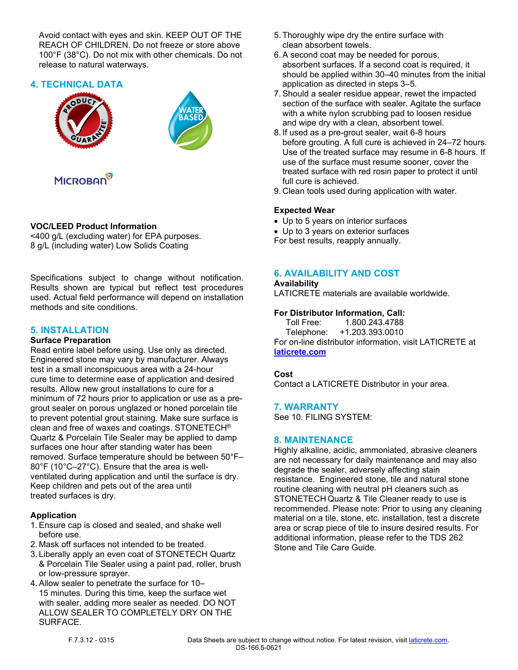Avoid contact with eyes and skin. KEEP OUT OF THE REACH OF CHILDREN. Do not freeze or store above 100°F (38°C). Do not mix with other chemicals. Do not release to natural waterways.

# **4. TECHNICAL DATA**





# **MICROBAN**

# **VOC/LEED Product Information**

<400 g/L (excluding water) for EPA purposes. 8 g/L (including water) Low Solids Coating

Specifications subject to change without notification. Results shown are typical but reflect test procedures used. Actual field performance will depend on installation methods and site conditions.

# **5. INSTALLATION**

# **Surface Preparation**

Read entire label before using. Use only as directed. Engineered stone may vary by manufacturer. Always test in a small inconspicuous area with a 24-hour cure time to determine ease of application and desired results. Allow new grout installations to cure for a minimum of 72 hours prior to application or use as a pregrout sealer on porous unglazed or honed porcelain tile to prevent potential grout staining. Make sure surface is clean and free of waxes and coatings. STONETECH® Quartz & Porcelain Tile Sealer may be applied to damp surfaces one hour after standing water has been removed. Surface temperature should be between 50°F– 80°F (10°C–27°C). Ensure that the area is wellventilated during application and until the surface is dry. Keep children and pets out of the area until treated surfaces is dry.

# **Application**

- 1. Ensure cap is closed and sealed, and shake well before use.
- 2. Mask off surfaces not intended to be treated.
- 3. Liberally apply an even coat of STONETECH Quartz & Porcelain Tile Sealer using a paint pad, roller, brush or low-pressure sprayer.
- 4. Allow sealer to penetrate the surface for 10– 15 minutes. During this time, keep the surface wet with sealer, adding more sealer as needed. DO NOT ALLOW SEALER TO COMPLETELY DRY ON THE SURFACE.
- 5. Thoroughly wipe dry the entire surface with clean absorbent towels.
- 6. A second coat may be needed for porous, absorbent surfaces. If a second coat is required, it should be applied within 30–40 minutes from the initial application as directed in steps 3–5.
- 7. Should a sealer residue appear, rewet the impacted section of the surface with sealer. Agitate the surface with a white nylon scrubbing pad to loosen residue and wipe dry with a clean, absorbent towel.
- 8. If used as a pre-grout sealer, wait 6-8 hours before grouting. A full cure is achieved in 24–72 hours. Use of the treated surface may resume in 6-8 hours. If use of the surface must resume sooner, cover the treated surface with red rosin paper to protect it until full cure is achieved.
- 9. Clean tools used during application with water.

# **Expected Wear**

- Up to 5 years on interior surfaces
- Up to 3 years on exterior surfaces
- For best results, reapply annually.

# **6. AVAILABILITY AND COST**

#### **Availability**

LATICRETE materials are available worldwide.

# **For Distributor Information, Call:**

 Toll Free: 1.800.243.4788 Telephone: +1.203.393.0010 For on-line distributor information, visit LATICRETE at **[laticrete.com](https://laticrete.com/)**

# **Cost**

Contact a LATICRETE Distributor in your area.

# **7. WARRANTY**

See 10. FILING SYSTEM:

# **8. MAINTENANCE**

Highly alkaline, acidic, ammoniated, abrasive cleaners are not necessary for daily maintenance and may also degrade the sealer, adversely affecting stain resistance. Engineered stone, tile and natural stone routine cleaning with neutral pH cleaners such as STONETECH Quartz & Tile Cleaner ready to use is recommended. Please note: Prior to using any cleaning material on a tile, stone, etc. installation, test a discrete area or scrap piece of tile to insure desired results. For additional information, please refer to the TDS 262 Stone and Tile Care Guide.